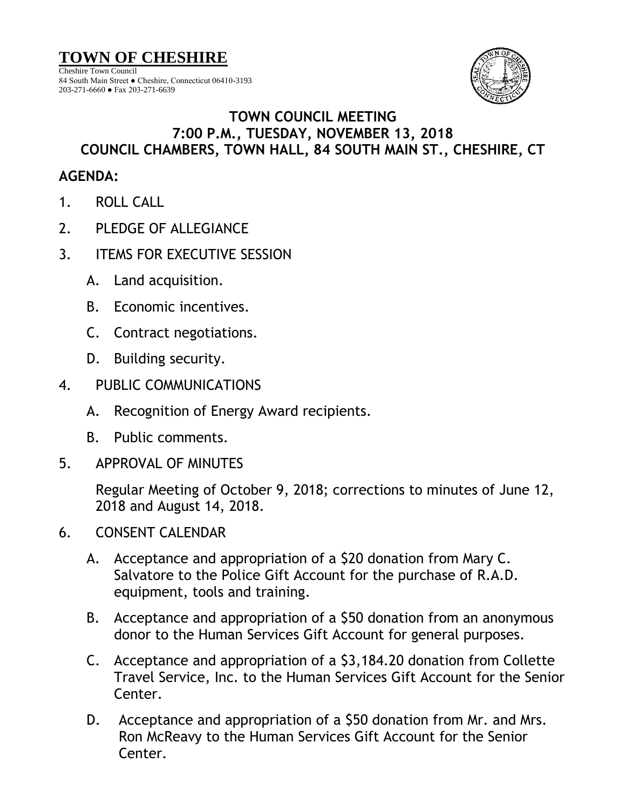**TOWN OF CHESHIRE**

Cheshire Town Council 84 South Main Street ● Cheshire, Connecticut 06410-3193 203-271-6660 ● Fax 203-271-6639



## **TOWN COUNCIL MEETING 7:00 P.M., TUESDAY, NOVEMBER 13, 2018 COUNCIL CHAMBERS, TOWN HALL, 84 SOUTH MAIN ST., CHESHIRE, CT**

## **AGENDA:**

- 1. ROLL CALL
- 2. PLEDGE OF ALLEGIANCE
- 3. ITEMS FOR EXECUTIVE SESSION
	- A. Land acquisition.
	- B. Economic incentives.
	- C. Contract negotiations.
	- D. Building security.
- 4. PUBLIC COMMUNICATIONS
	- A. Recognition of Energy Award recipients.
	- B. Public comments.
- 5. APPROVAL OF MINUTES

Regular Meeting of October 9, 2018; corrections to minutes of June 12, 2018 and August 14, 2018.

- 6. CONSENT CALENDAR
	- A. Acceptance and appropriation of a \$20 donation from Mary C. Salvatore to the Police Gift Account for the purchase of R.A.D. equipment, tools and training.
	- B. Acceptance and appropriation of a \$50 donation from an anonymous donor to the Human Services Gift Account for general purposes.
	- C. Acceptance and appropriation of a \$3,184.20 donation from Collette Travel Service, Inc. to the Human Services Gift Account for the Senior Center.
	- D. Acceptance and appropriation of a \$50 donation from Mr. and Mrs. Ron McReavy to the Human Services Gift Account for the Senior Center.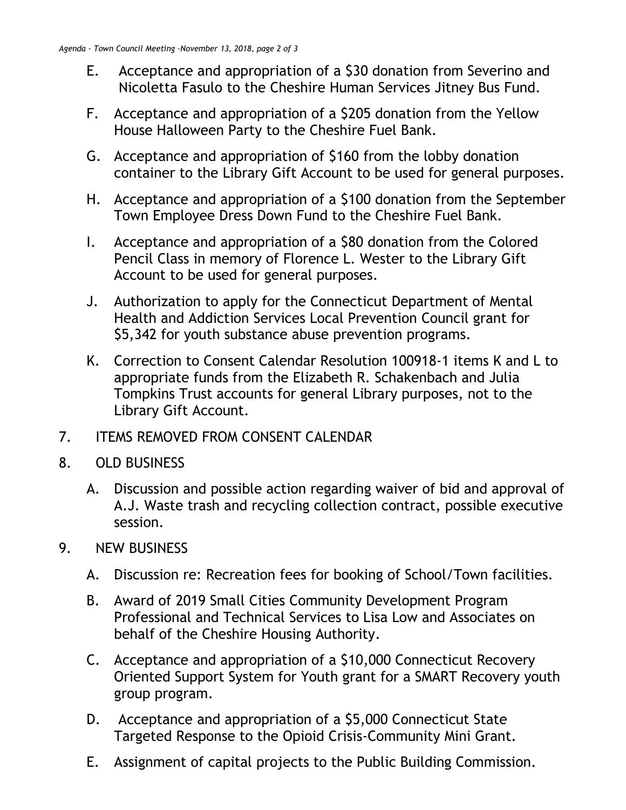- E. Acceptance and appropriation of a \$30 donation from Severino and Nicoletta Fasulo to the Cheshire Human Services Jitney Bus Fund.
- F. Acceptance and appropriation of a \$205 donation from the Yellow House Halloween Party to the Cheshire Fuel Bank.
- G. Acceptance and appropriation of \$160 from the lobby donation container to the Library Gift Account to be used for general purposes.
- H. Acceptance and appropriation of a \$100 donation from the September Town Employee Dress Down Fund to the Cheshire Fuel Bank.
- I. Acceptance and appropriation of a \$80 donation from the Colored Pencil Class in memory of Florence L. Wester to the Library Gift Account to be used for general purposes.
- J. Authorization to apply for the Connecticut Department of Mental Health and Addiction Services Local Prevention Council grant for \$5,342 for youth substance abuse prevention programs.
- K. Correction to Consent Calendar Resolution 100918-1 items K and L to appropriate funds from the Elizabeth R. Schakenbach and Julia Tompkins Trust accounts for general Library purposes, not to the Library Gift Account.
- 7. ITEMS REMOVED FROM CONSENT CALENDAR
- 8. OLD BUSINESS
	- A. Discussion and possible action regarding waiver of bid and approval of A.J. Waste trash and recycling collection contract, possible executive session.
- 9. NEW BUSINESS
	- A. Discussion re: Recreation fees for booking of School/Town facilities.
	- B. Award of 2019 Small Cities Community Development Program Professional and Technical Services to Lisa Low and Associates on behalf of the Cheshire Housing Authority.
	- C. Acceptance and appropriation of a \$10,000 Connecticut Recovery Oriented Support System for Youth grant for a SMART Recovery youth group program.
	- D. Acceptance and appropriation of a \$5,000 Connecticut State Targeted Response to the Opioid Crisis-Community Mini Grant.
	- E. Assignment of capital projects to the Public Building Commission.